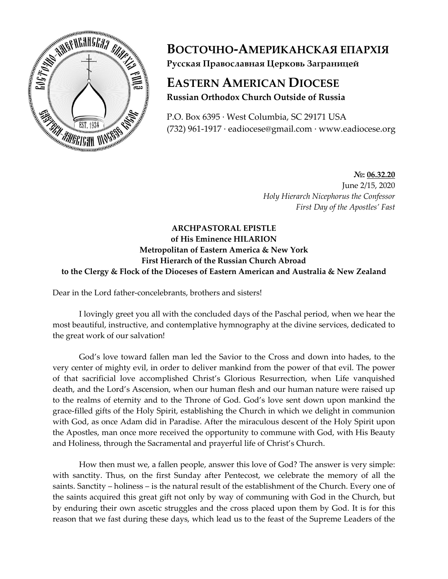

**ВОСТОЧНО-АМЕРИКАНСКАЯ ЕПАРХІЯ Русская Православная Церковь Заграницей**

## **EASTERN AMERICAN DIOCESE Russian Orthodox Church Outside of Russia**

P.O. Box 6395 · West Columbia, SC 29171 USA (732) 961-1917 · eadiocese@gmail.com · www.eadiocese.org

> **№: 06.32.20** June 2/15, 2020 *Holy Hierarch Nicephorus the Confessor First Day of the Apostles' Fast*

## **ARCHPASTORAL EPISTLE of His Eminence HILARION Metropolitan of Eastern America & New York First Hierarch of the Russian Church Abroad to the Clergy & Flock of the Dioceses of Eastern American and Australia & New Zealand**

Dear in the Lord father-concelebrants, brothers and sisters!

I lovingly greet you all with the concluded days of the Paschal period, when we hear the most beautiful, instructive, and contemplative hymnography at the divine services, dedicated to the great work of our salvation!

God's love toward fallen man led the Savior to the Cross and down into hades, to the very center of mighty evil, in order to deliver mankind from the power of that evil. The power of that sacrificial love accomplished Christ's Glorious Resurrection, when Life vanquished death, and the Lord's Ascension, when our human flesh and our human nature were raised up to the realms of eternity and to the Throne of God. God's love sent down upon mankind the grace-filled gifts of the Holy Spirit, establishing the Church in which we delight in communion with God, as once Adam did in Paradise. After the miraculous descent of the Holy Spirit upon the Apostles, man once more received the opportunity to commune with God, with His Beauty and Holiness, through the Sacramental and prayerful life of Christ's Church.

How then must we, a fallen people, answer this love of God? The answer is very simple: with sanctity. Thus, on the first Sunday after Pentecost, we celebrate the memory of all the saints. Sanctity – holiness – is the natural result of the establishment of the Church. Every one of the saints acquired this great gift not only by way of communing with God in the Church, but by enduring their own ascetic struggles and the cross placed upon them by God. It is for this reason that we fast during these days, which lead us to the feast of the Supreme Leaders of the